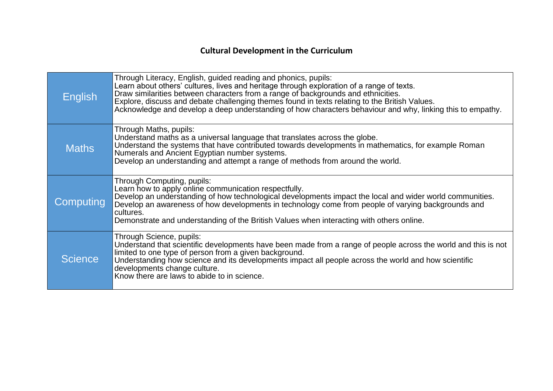| English          | Through Literacy, English, guided reading and phonics, pupils:<br>Learn about others' cultures, lives and heritage through exploration of a range of texts.<br>Draw similarities between characters from a range of backgrounds and ethnicities.<br>Explore, discuss and debate challenging themes found in texts relating to the British Values.<br>Acknowledge and develop a deep understanding of how characters behaviour and why, linking this to empathy. |
|------------------|-----------------------------------------------------------------------------------------------------------------------------------------------------------------------------------------------------------------------------------------------------------------------------------------------------------------------------------------------------------------------------------------------------------------------------------------------------------------|
| <b>Maths</b>     | Through Maths, pupils:<br>Understand maths as a universal language that translates across the globe.<br>Understand the systems that have contributed towards developments in mathematics, for example Roman<br>Numerals and Ancient Egyptian number systems.<br>Develop an understanding and attempt a range of methods from around the world.                                                                                                                  |
| <b>Computing</b> | Through Computing, pupils:<br>Learn how to apply online communication respectfully.<br>Develop an understanding of how technological developments impact the local and wider world communities.<br>Develop an awareness of how developments in technology come from people of varying backgrounds and<br>cultures.<br>Demonstrate and understanding of the British Values when interacting with others online.                                                  |
| <b>Science</b>   | Through Science, pupils:<br>Understand that scientific developments have been made from a range of people across the world and this is not<br>limited to one type of person from a given background.<br>Understanding how science and its developments impact all people across the world and how scientific<br>developments change culture.<br>Know there are laws to abide to in science.                                                                     |